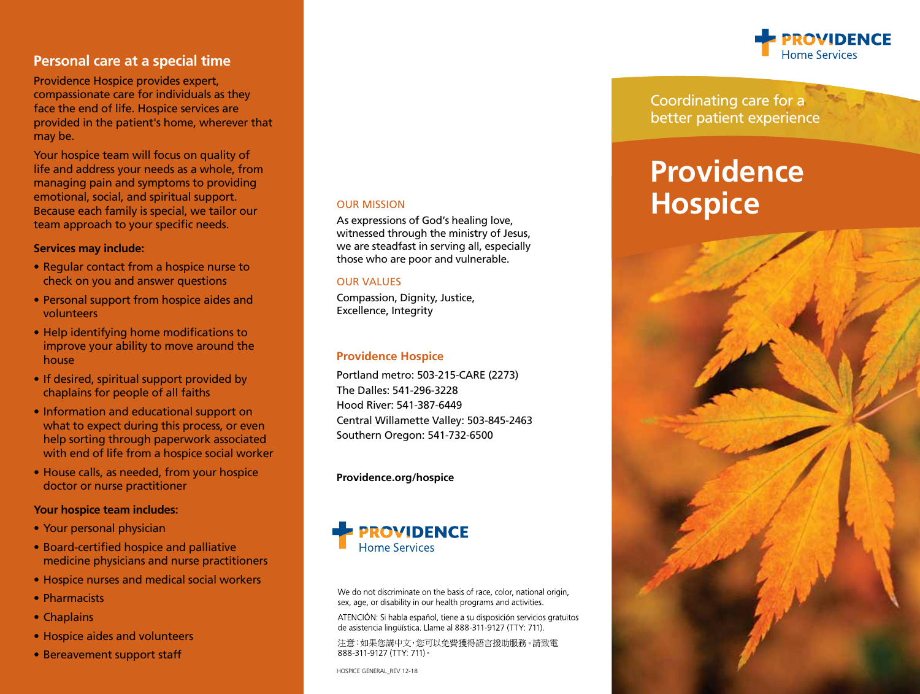# **Personal care at a special time**

Providence Hospice provides expert, compassionate care for individuals as they face the end of life. Hospice services are provided in the patient's home, wherever that may be.

Your hospice team will focus on quality of life and address your needs as a whole, from managing pain and symptoms to providing emotional, social, and spiritual support. Because each family is special, we tailor our team approach to your specific needs.

### **Services may include:**

- Regular contact from a hospice nurse to check on you and answer questions
- Personal support from hospice aides and volunteers
- Help identifying home modifications to improve your ability to move around the house
- If desired, spiritual support provided by chaplains for people of all faiths
- Information and educational support on what to expect during this process, or even help sorting through paperwork associated with end of life from a hospice social worker
- House calls, as needed, from your hospice doctor or nurse practitioner

### **Your hospice team includes:**

- Your personal physician
- Board-certified hospice and palliative medicine physicians and nurse practitioners
- Hospice nurses and medical social workers
- • Pharmacists
- Chaplains
- Hospice aides and volunteers
- Bereavement support staff

### OUR MISSION

As expressions of God's healing love, witnessed through the ministry of Jesus, we are steadfast in serving all, especially those who are poor and vulnerable.

#### OUR VALUES

Compassion, Dignity, Justice, Excellence, Integrity

### **Providence Hospice**

Portland metro: 503-215-CARE (2273) The Dalles: 541-296-3228 Hood River: 541-387-6449 Central Willamette Valley: 503-845-2463 Southern Oregon: 541-732-6500

### **Providence.org/hospice**



We do not discriminate on the basis of race, color, national origin, sex, age, or disability in our health programs and activities.

ATENCIÓN: Si habla español, tiene a su disposición servicios gratuitos de asistencia lingüística. Llame al 888-311-9127 (TTY: 711).

注意:如果您講中文,您可以免費獲得語言援助服務。請致電 888-311-9127 (TTY: 711)

HOSPICE GENERAL\_REV 12-18



Coordinating care for a better patient experience

# **Providence Hospice**